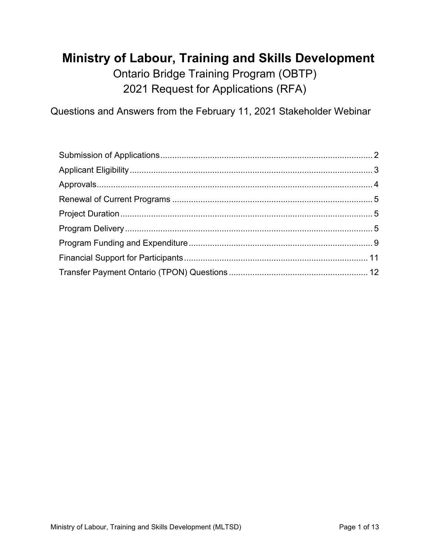# **Ministry of Labour, Training and Skills Development**

Ontario Bridge Training Program (OBTP) 2021 Request for Applications (RFA)

Questions and Answers from the February 11, 2021 Stakeholder Webinar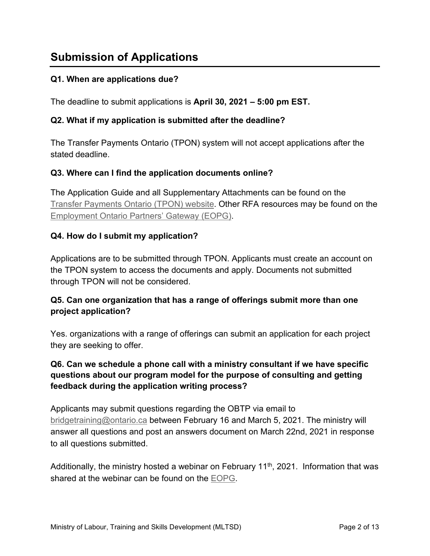# <span id="page-1-0"></span>**Submission of Applications**

# **Q1. When are applications due?**

The deadline to submit applications is **April 30, 2021 – 5:00 pm EST.**

### **Q2. What if my application is submitted after the deadline?**

The Transfer Payments Ontario (TPON) system will not accept applications after the stated deadline.

### **Q3. Where can I find the application documents online?**

The Application Guide and all Supplementary Attachments can be found on the [Transfer Payments Ontario \(TPON\) website.](https://www.app.grants.gov.on.ca/gr/tpcr/#/externalLogin) Other RFA resources may be found on the [Employment Ontario Partners' Gateway](http://www.tcu.gov.on.ca/eng/eopg/programs/obtp.html) (EOPG).

### **Q4. How do I submit my application?**

Applications are to be submitted through TPON. Applicants must create an account on the TPON system to access the documents and apply. Documents not submitted through TPON will not be considered.

# **Q5. Can one organization that has a range of offerings submit more than one project application?**

Yes. organizations with a range of offerings can submit an application for each project they are seeking to offer.

# **Q6. Can we schedule a phone call with a ministry consultant if we have specific questions about our program model for the purpose of consulting and getting feedback during the application writing process?**

Applicants may submit questions regarding the OBTP via email to [bridgetraining@ontario.ca](mailto:bridgetraining@ontario.ca) between February 16 and March 5, 2021. The ministry will answer all questions and post an answers document on March 22nd, 2021 in response to all questions submitted.

Additionally, the ministry hosted a webinar on February 11<sup>th</sup>, 2021. Information that was shared at the webinar can be found on the [EOPG.](http://www.tcu.gov.on.ca/eng/eopg/programs/obtp.html)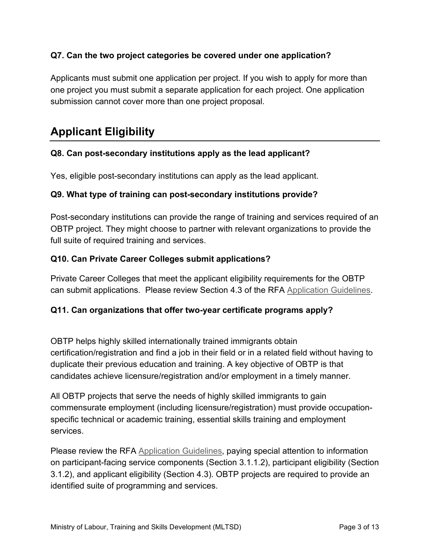# **Q7. Can the two project categories be covered under one application?**

Applicants must submit one application per project. If you wish to apply for more than one project you must submit a separate application for each project. One application submission cannot cover more than one project proposal.

# <span id="page-2-0"></span>**Applicant Eligibility**

### **Q8. Can post-secondary institutions apply as the lead applicant?**

Yes, eligible post-secondary institutions can apply as the lead applicant.

#### **Q9. What type of training can post-secondary institutions provide?**

Post-secondary institutions can provide the range of training and services required of an OBTP project. They might choose to partner with relevant organizations to provide the full suite of required training and services.

#### **Q10. Can Private Career Colleges submit applications?**

Private Career Colleges that meet the applicant eligibility requirements for the OBTP can submit applications. Please review Section 4.3 of the RFA [Application Guidelines.](http://www.tcu.gov.on.ca/eng/eopg/publications/obtp-request-for-applications-guidelines-en.pdf)

#### **Q11. Can organizations that offer two-year certificate programs apply?**

OBTP helps highly skilled internationally trained immigrants obtain certification/registration and find a job in their field or in a related field without having to duplicate their previous education and training. A key objective of OBTP is that candidates achieve licensure/registration and/or employment in a timely manner.

All OBTP projects that serve the needs of highly skilled immigrants to gain commensurate employment (including licensure/registration) must provide occupationspecific technical or academic training, essential skills training and employment services.

Please review the RFA [Application Guidelines,](http://www.tcu.gov.on.ca/eng/eopg/publications/obtp-request-for-applications-guidelines-en.pdf) paying special attention to information on participant-facing service components (Section 3.1.1.2), participant eligibility (Section 3.1.2), and applicant eligibility (Section 4.3). OBTP projects are required to provide an identified suite of programming and services.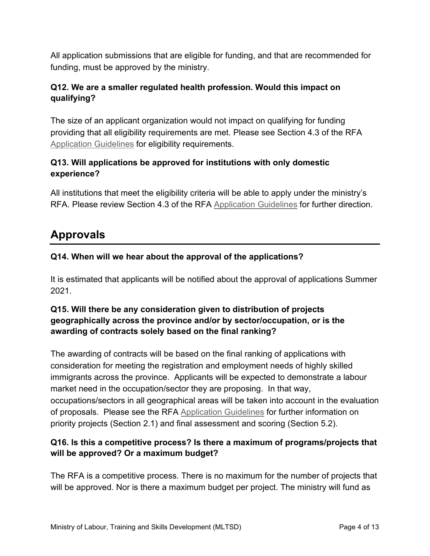All application submissions that are eligible for funding, and that are recommended for funding, must be approved by the ministry.

# **Q12. We are a smaller regulated health profession. Would this impact on qualifying?**

The size of an applicant organization would not impact on qualifying for funding providing that all eligibility requirements are met. Please see Section 4.3 of the RFA [Application Guidelines](http://www.tcu.gov.on.ca/eng/eopg/publications/obtp-request-for-applications-guidelines-en.pdf) for eligibility requirements.

# **Q13. Will applications be approved for institutions with only domestic experience?**

All institutions that meet the eligibility criteria will be able to apply under the ministry's RFA. Please review Section 4.3 of the RFA [Application Guidelines](http://www.tcu.gov.on.ca/eng/eopg/publications/obtp-request-for-applications-guidelines-en.pdf) for further direction.

# <span id="page-3-0"></span>**Approvals**

# **Q14. When will we hear about the approval of the applications?**

It is estimated that applicants will be notified about the approval of applications Summer 2021.

# **Q15. Will there be any consideration given to distribution of projects geographically across the province and/or by sector/occupation, or is the awarding of contracts solely based on the final ranking?**

The awarding of contracts will be based on the final ranking of applications with consideration for meeting the registration and employment needs of highly skilled immigrants across the province. Applicants will be expected to demonstrate a labour market need in the occupation/sector they are proposing. In that way, occupations/sectors in all geographical areas will be taken into account in the evaluation of proposals. Please see the RFA [Application Guidelines](http://www.tcu.gov.on.ca/eng/eopg/publications/obtp-request-for-applications-guidelines-en.pdf) for further information on priority projects (Section 2.1) and final assessment and scoring (Section 5.2).

# **Q16. Is this a competitive process? Is there a maximum of programs/projects that will be approved? Or a maximum budget?**

The RFA is a competitive process. There is no maximum for the number of projects that will be approved. Nor is there a maximum budget per project. The ministry will fund as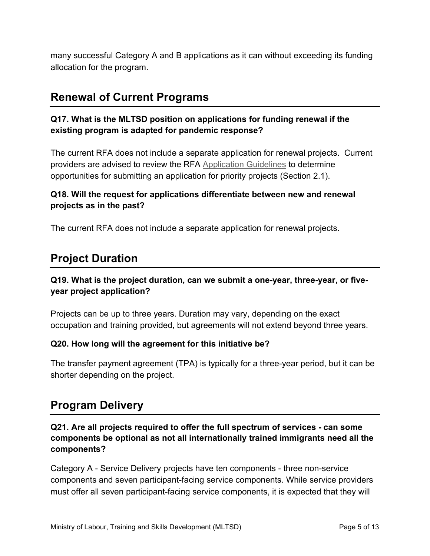many successful Category A and B applications as it can without exceeding its funding allocation for the program.

# <span id="page-4-0"></span>**Renewal of Current Programs**

# **Q17. What is the MLTSD position on applications for funding renewal if the existing program is adapted for pandemic response?**

The current RFA does not include a separate application for renewal projects. Current providers are advised to review the RFA [Application Guidelines](http://www.tcu.gov.on.ca/eng/eopg/publications/obtp-request-for-applications-guidelines-en.pdf) to determine opportunities for submitting an application for priority projects (Section 2.1).

# **Q18. Will the request for applications differentiate between new and renewal projects as in the past?**

<span id="page-4-1"></span>The current RFA does not include a separate application for renewal projects.

# **Project Duration**

# **Q19. What is the project duration, can we submit a one-year, three-year, or fiveyear project application?**

Projects can be up to three years. Duration may vary, depending on the exact occupation and training provided, but agreements will not extend beyond three years.

### **Q20. How long will the agreement for this initiative be?**

The transfer payment agreement (TPA) is typically for a three-year period, but it can be shorter depending on the project.

# <span id="page-4-2"></span>**Program Delivery**

# **Q21. Are all projects required to offer the full spectrum of services - can some components be optional as not all internationally trained immigrants need all the components?**

Category A - Service Delivery projects have ten components - three non-service components and seven participant-facing service components. While service providers must offer all seven participant-facing service components, it is expected that they will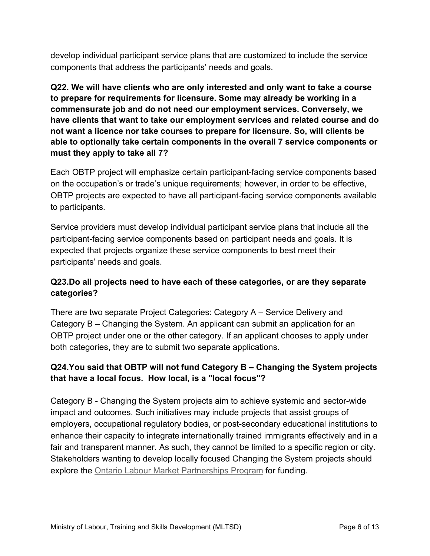develop individual participant service plans that are customized to include the service components that address the participants' needs and goals.

**Q22. We will have clients who are only interested and only want to take a course to prepare for requirements for licensure. Some may already be working in a commensurate job and do not need our employment services. Conversely, we have clients that want to take our employment services and related course and do not want a licence nor take courses to prepare for licensure. So, will clients be able to optionally take certain components in the overall 7 service components or must they apply to take all 7?**

Each OBTP project will emphasize certain participant-facing service components based on the occupation's or trade's unique requirements; however, in order to be effective, OBTP projects are expected to have all participant-facing service components available to participants.

Service providers must develop individual participant service plans that include all the participant-facing service components based on participant needs and goals. It is expected that projects organize these service components to best meet their participants' needs and goals.

# **Q23.Do all projects need to have each of these categories, or are they separate categories?**

There are two separate Project Categories: Category A – Service Delivery and Category B – Changing the System. An applicant can submit an application for an OBTP project under one or the other category. If an applicant chooses to apply under both categories, they are to submit two separate applications.

# **Q24.You said that OBTP will not fund Category B – Changing the System projects that have a local focus. How local, is a "local focus"?**

Category B - Changing the System projects aim to achieve systemic and sector-wide impact and outcomes. Such initiatives may include projects that assist groups of employers, occupational regulatory bodies, or post-secondary educational institutions to enhance their capacity to integrate internationally trained immigrants effectively and in a fair and transparent manner. As such, they cannot be limited to a specific region or city. Stakeholders wanting to develop locally focused Changing the System projects should explore the [Ontario Labour Market Partnerships Program](http://www.tcu.gov.on.ca/eng/employers/labourMarket.html) for funding.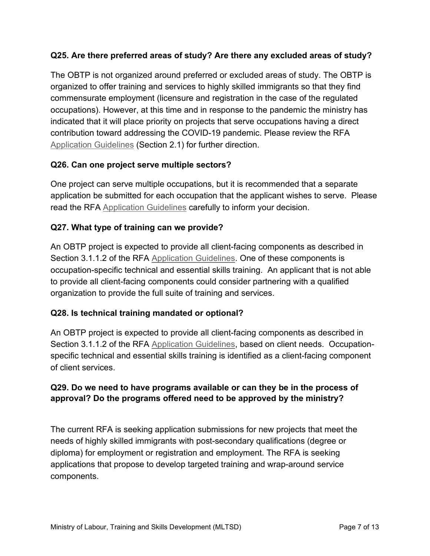# **Q25. Are there preferred areas of study? Are there any excluded areas of study?**

The OBTP is not organized around preferred or excluded areas of study. The OBTP is organized to offer training and services to highly skilled immigrants so that they find commensurate employment (licensure and registration in the case of the regulated occupations). However, at this time and in response to the pandemic the ministry has indicated that it will place priority on projects that serve occupations having a direct contribution toward addressing the COVID-19 pandemic. Please review the RFA [Application Guidelines](http://www.tcu.gov.on.ca/eng/eopg/publications/obtp-request-for-applications-guidelines-en.pdf) (Section 2.1) for further direction.

### **Q26. Can one project serve multiple sectors?**

One project can serve multiple occupations, but it is recommended that a separate application be submitted for each occupation that the applicant wishes to serve. Please read the RFA [Application Guidelines](http://www.tcu.gov.on.ca/eng/eopg/publications/obtp-request-for-applications-guidelines-en.pdf) carefully to inform your decision.

# **Q27. What type of training can we provide?**

An OBTP project is expected to provide all client-facing components as described in Section 3.1.1.2 of the RFA [Application Guidelines.](http://www.tcu.gov.on.ca/eng/eopg/publications/obtp-request-for-applications-guidelines-en.pdf) One of these components is occupation-specific technical and essential skills training. An applicant that is not able to provide all client-facing components could consider partnering with a qualified organization to provide the full suite of training and services.

### **Q28. Is technical training mandated or optional?**

An OBTP project is expected to provide all client-facing components as described in Section 3.1.1.2 of the RFA [Application Guidelines,](http://www.tcu.gov.on.ca/eng/eopg/publications/obtp-request-for-applications-guidelines-en.pdf) based on client needs. Occupationspecific technical and essential skills training is identified as a client-facing component of client services.

### **Q29. Do we need to have programs available or can they be in the process of approval? Do the programs offered need to be approved by the ministry?**

The current RFA is seeking application submissions for new projects that meet the needs of highly skilled immigrants with post-secondary qualifications (degree or diploma) for employment or registration and employment. The RFA is seeking applications that propose to develop targeted training and wrap-around service components.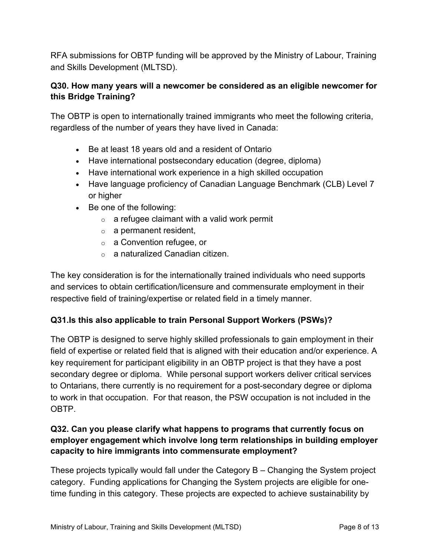RFA submissions for OBTP funding will be approved by the Ministry of Labour, Training and Skills Development (MLTSD).

# **Q30. How many years will a newcomer be considered as an eligible newcomer for this Bridge Training?**

The OBTP is open to internationally trained immigrants who meet the following criteria, regardless of the number of years they have lived in Canada:

- Be at least 18 years old and a resident of Ontario
- Have international postsecondary education (degree, diploma)
- Have international work experience in a high skilled occupation
- Have language proficiency of Canadian Language Benchmark (CLB) Level 7 or higher
- Be one of the following:
	- $\circ$  a refugee claimant with a valid work permit
	- $\circ$  a permanent resident,
	- o a Convention refugee, or
	- o a naturalized Canadian citizen.

The key consideration is for the internationally trained individuals who need supports and services to obtain certification/licensure and commensurate employment in their respective field of training/expertise or related field in a timely manner.

### **Q31.Is this also applicable to train Personal Support Workers (PSWs)?**

The OBTP is designed to serve highly skilled professionals to gain employment in their field of expertise or related field that is aligned with their education and/or experience. A key requirement for participant eligibility in an OBTP project is that they have a post secondary degree or diploma. While personal support workers deliver critical services to Ontarians, there currently is no requirement for a post-secondary degree or diploma to work in that occupation. For that reason, the PSW occupation is not included in the OBTP.

# **Q32. Can you please clarify what happens to programs that currently focus on employer engagement which involve long term relationships in building employer capacity to hire immigrants into commensurate employment?**

These projects typically would fall under the Category B – Changing the System project category. Funding applications for Changing the System projects are eligible for onetime funding in this category. These projects are expected to achieve sustainability by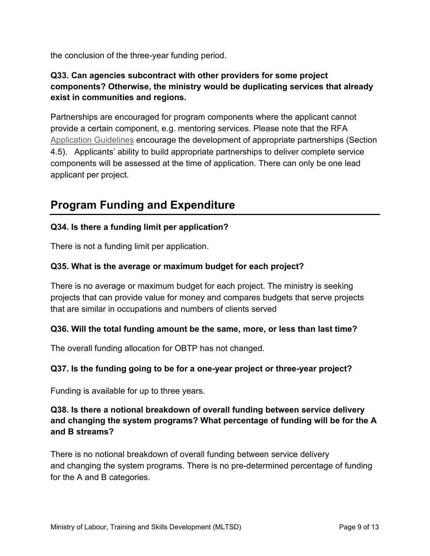the conclusion of the three-year funding period.

# **Q33. Can agencies subcontract with other providers for some project components? Otherwise, the ministry would be duplicating services that already exist in communities and regions.**

Partnerships are encouraged for program components where the applicant cannot provide a certain component, e.g. mentoring services. Please note that the RFA [Application Guidelines](http://www.tcu.gov.on.ca/eng/eopg/publications/obtp-request-for-applications-guidelines-en.pdf) encourage the development of appropriate partnerships (Section 4.5). Applicants' ability to build appropriate partnerships to deliver complete service components will be assessed at the time of application. There can only be one lead applicant per project.

# <span id="page-8-0"></span>**Program Funding and Expenditure**

# **Q34. Is there a funding limit per application?**

There is not a funding limit per application.

#### **Q35. What is the average or maximum budget for each project?**

There is no average or maximum budget for each project. The ministry is seeking projects that can provide value for money and compares budgets that serve projects that are similar in occupations and numbers of clients served

#### **Q36. Will the total funding amount be the same, more, or less than last time?**

The overall funding allocation for OBTP has not changed.

#### **Q37. Is the funding going to be for a one-year project or three-year project?**

Funding is available for up to three years.

### **Q38. Is there a notional breakdown of overall funding between service delivery and changing the system programs? What percentage of funding will be for the A and B streams?**

There is no notional breakdown of overall funding between service delivery and changing the system programs. There is no pre-determined percentage of funding for the A and B categories.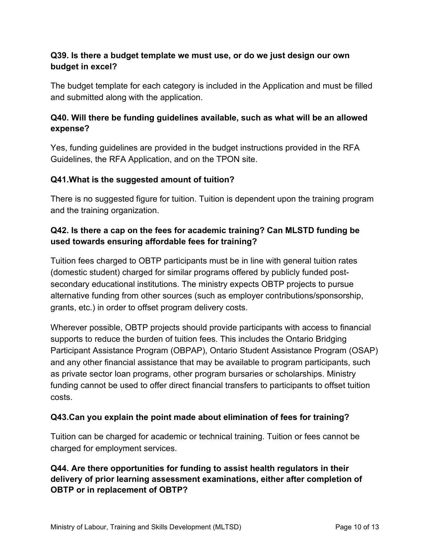# **Q39. Is there a budget template we must use, or do we just design our own budget in excel?**

The budget template for each category is included in the Application and must be filled and submitted along with the application.

# **Q40. Will there be funding guidelines available, such as what will be an allowed expense?**

Yes, funding guidelines are provided in the budget instructions provided in the RFA Guidelines, the RFA Application, and on the TPON site.

### **Q41.What is the suggested amount of tuition?**

There is no suggested figure for tuition. Tuition is dependent upon the training program and the training organization.

# **Q42. Is there a cap on the fees for academic training? Can MLSTD funding be used towards ensuring affordable fees for training?**

Tuition fees charged to OBTP participants must be in line with general tuition rates (domestic student) charged for similar programs offered by publicly funded postsecondary educational institutions. The ministry expects OBTP projects to pursue alternative funding from other sources (such as employer contributions/sponsorship, grants, etc.) in order to offset program delivery costs.

Wherever possible, OBTP projects should provide participants with access to financial supports to reduce the burden of tuition fees. This includes the Ontario Bridging Participant Assistance Program (OBPAP), Ontario Student Assistance Program (OSAP) and any other financial assistance that may be available to program participants, such as private sector loan programs, other program bursaries or scholarships. Ministry funding cannot be used to offer direct financial transfers to participants to offset tuition costs.

### **Q43.Can you explain the point made about elimination of fees for training?**

Tuition can be charged for academic or technical training. Tuition or fees cannot be charged for employment services.

# **Q44. Are there opportunities for funding to assist health regulators in their delivery of prior learning assessment examinations, either after completion of OBTP or in replacement of OBTP?**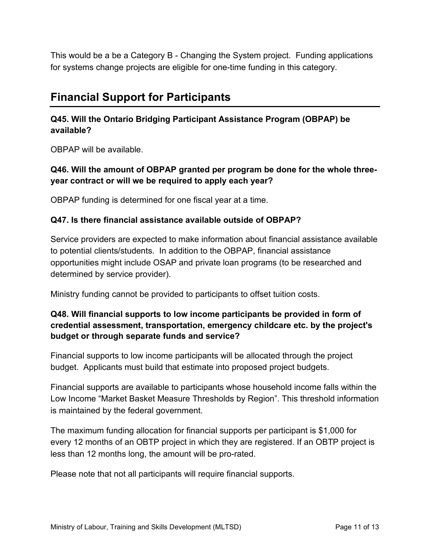This would be a be a Category B - Changing the System project. Funding applications for systems change projects are eligible for one-time funding in this category.

# <span id="page-10-0"></span>**Financial Support for Participants**

# **Q45. Will the Ontario Bridging Participant Assistance Program (OBPAP) be available?**

OBPAP will be available.

#### **Q46. Will the amount of OBPAP granted per program be done for the whole threeyear contract or will we be required to apply each year?**

OBPAP funding is determined for one fiscal year at a time.

#### **Q47. Is there financial assistance available outside of OBPAP?**

Service providers are expected to make information about financial assistance available to potential clients/students. In addition to the OBPAP, financial assistance opportunities might include OSAP and private loan programs (to be researched and determined by service provider).

Ministry funding cannot be provided to participants to offset tuition costs.

# **Q48. Will financial supports to low income participants be provided in form of credential assessment, transportation, emergency childcare etc. by the project's budget or through separate funds and service?**

Financial supports to low income participants will be allocated through the project budget. Applicants must build that estimate into proposed project budgets.

Financial supports are available to participants whose household income falls within the Low Income "Market Basket Measure Thresholds by Region". This threshold information is maintained by the federal government.

The maximum funding allocation for financial supports per participant is \$1,000 for every 12 months of an OBTP project in which they are registered. If an OBTP project is less than 12 months long, the amount will be pro-rated.

Please note that not all participants will require financial supports.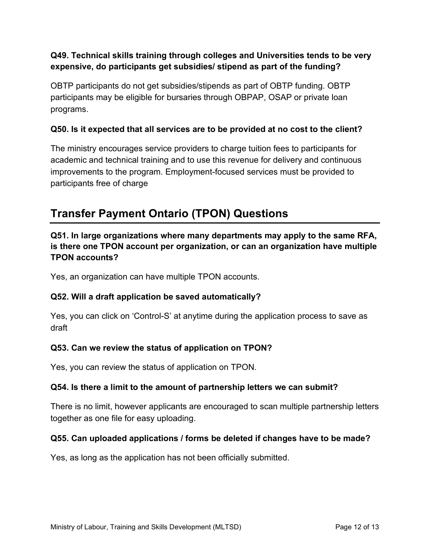### **Q49. Technical skills training through colleges and Universities tends to be very expensive, do participants get subsidies/ stipend as part of the funding?**

OBTP participants do not get subsidies/stipends as part of OBTP funding. OBTP participants may be eligible for bursaries through OBPAP, OSAP or private loan programs.

## **Q50. Is it expected that all services are to be provided at no cost to the client?**

The ministry encourages service providers to charge tuition fees to participants for academic and technical training and to use this revenue for delivery and continuous improvements to the program. Employment-focused services must be provided to participants free of charge

# <span id="page-11-0"></span>**Transfer Payment Ontario (TPON) Questions**

**Q51. In large organizations where many departments may apply to the same RFA, is there one TPON account per organization, or can an organization have multiple TPON accounts?**

Yes, an organization can have multiple TPON accounts.

### **Q52. Will a draft application be saved automatically?**

Yes, you can click on 'Control-S' at anytime during the application process to save as draft

### **Q53. Can we review the status of application on TPON?**

Yes, you can review the status of application on TPON.

#### **Q54. Is there a limit to the amount of partnership letters we can submit?**

There is no limit, however applicants are encouraged to scan multiple partnership letters together as one file for easy uploading.

### **Q55. Can uploaded applications / forms be deleted if changes have to be made?**

Yes, as long as the application has not been officially submitted.